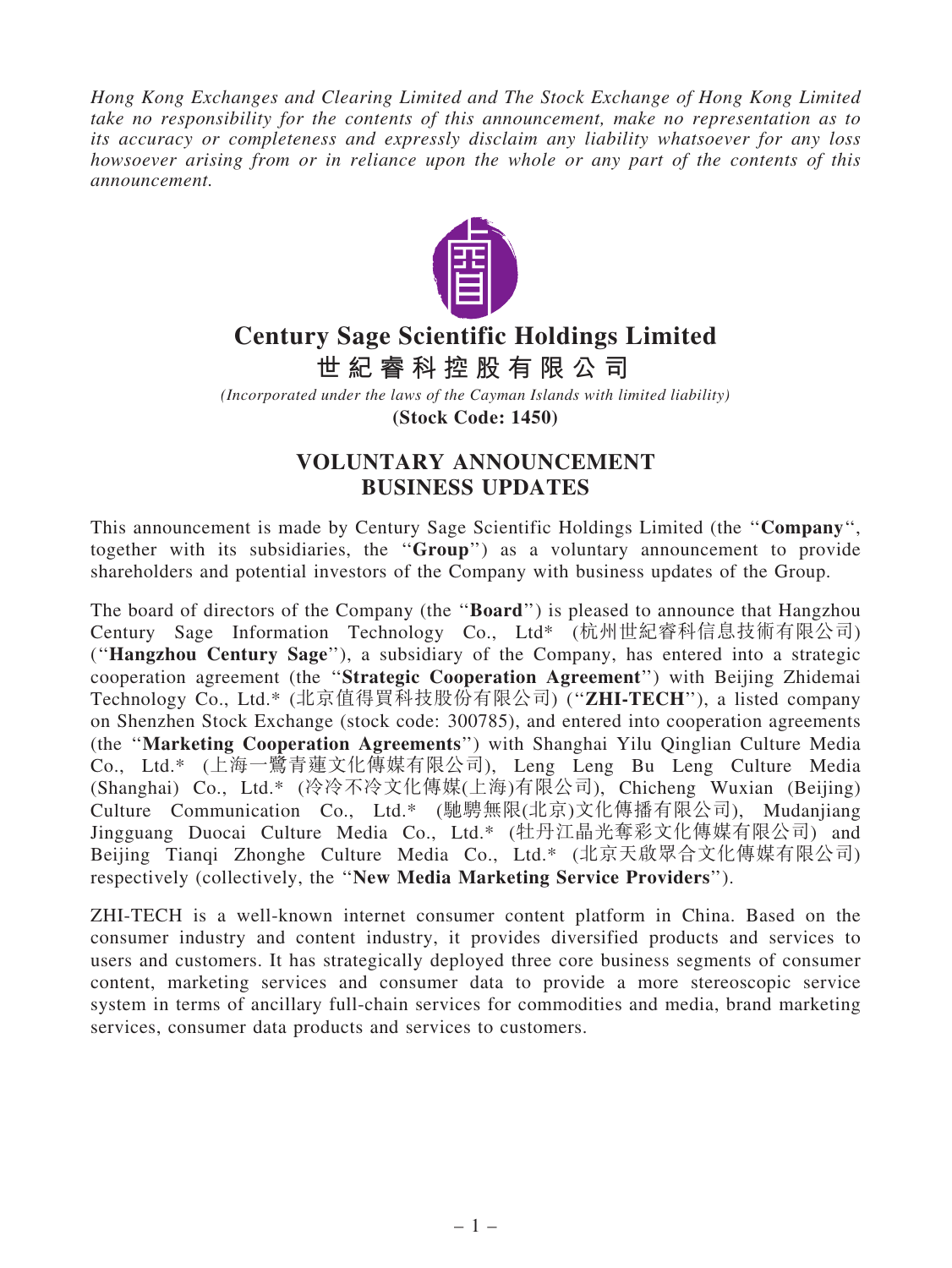Hong Kong Exchanges and Clearing Limited and The Stock Exchange of Hong Kong Limited take no responsibility for the contents of this announcement, make no representation as to its accuracy or completeness and expressly disclaim any liability whatsoever for any loss howsoever arising from or in reliance upon the whole or any part of the contents of this announcement.



## **Century Sage Scientific Holdings Limited**

**世 紀 睿 科 控 股 有 限 公 司**

*(Incorporated under the laws of the Cayman Islands with limited liability)*

**(Stock Code: 1450)**

## VOLUNTARY ANNOUNCEMENT BUSINESS UPDATES

This announcement is made by Century Sage Scientific Holdings Limited (the "Company", together with its subsidiaries, the ''Group'') as a voluntary announcement to provide shareholders and potential investors of the Company with business updates of the Group.

The board of directors of the Company (the "**Board**") is pleased to announce that Hangzhou Century Sage Information Technology Co., Ltd\* (杭州世紀睿科信息技術有限公司) (''Hangzhou Century Sage''), a subsidiary of the Company, has entered into a strategic cooperation agreement (the ''Strategic Cooperation Agreement'') with Beijing Zhidemai Technology Co., Ltd.\* (北京值得買科技股份有限公司) ("ZHI-TECH"), a listed company on Shenzhen Stock Exchange (stock code: 300785), and entered into cooperation agreements (the ''Marketing Cooperation Agreements'') with Shanghai Yilu Qinglian Culture Media Co., Ltd.\* (上海一鷺青蓮文化傳媒有限公司), Leng Leng Bu Leng Culture Media (Shanghai) Co., Ltd.\* (冷冷不冷文化傳媒(上海)有限公司), Chicheng Wuxian (Beijing) Culture Communication Co., Ltd.\* (馳騁無限(北京)文化傳播有限公司), Mudanjiang Jingguang Duocai Culture Media Co., Ltd.\* (牡丹江晶光奪彩文化傳媒有限公司) and Beijing Tianqi Zhonghe Culture Media Co., Ltd.\* (北京天啟眾合文化傳媒有限公司) respectively (collectively, the ''New Media Marketing Service Providers'').

ZHI-TECH is a well-known internet consumer content platform in China. Based on the consumer industry and content industry, it provides diversified products and services to users and customers. It has strategically deployed three core business segments of consumer content, marketing services and consumer data to provide a more stereoscopic service system in terms of ancillary full-chain services for commodities and media, brand marketing services, consumer data products and services to customers.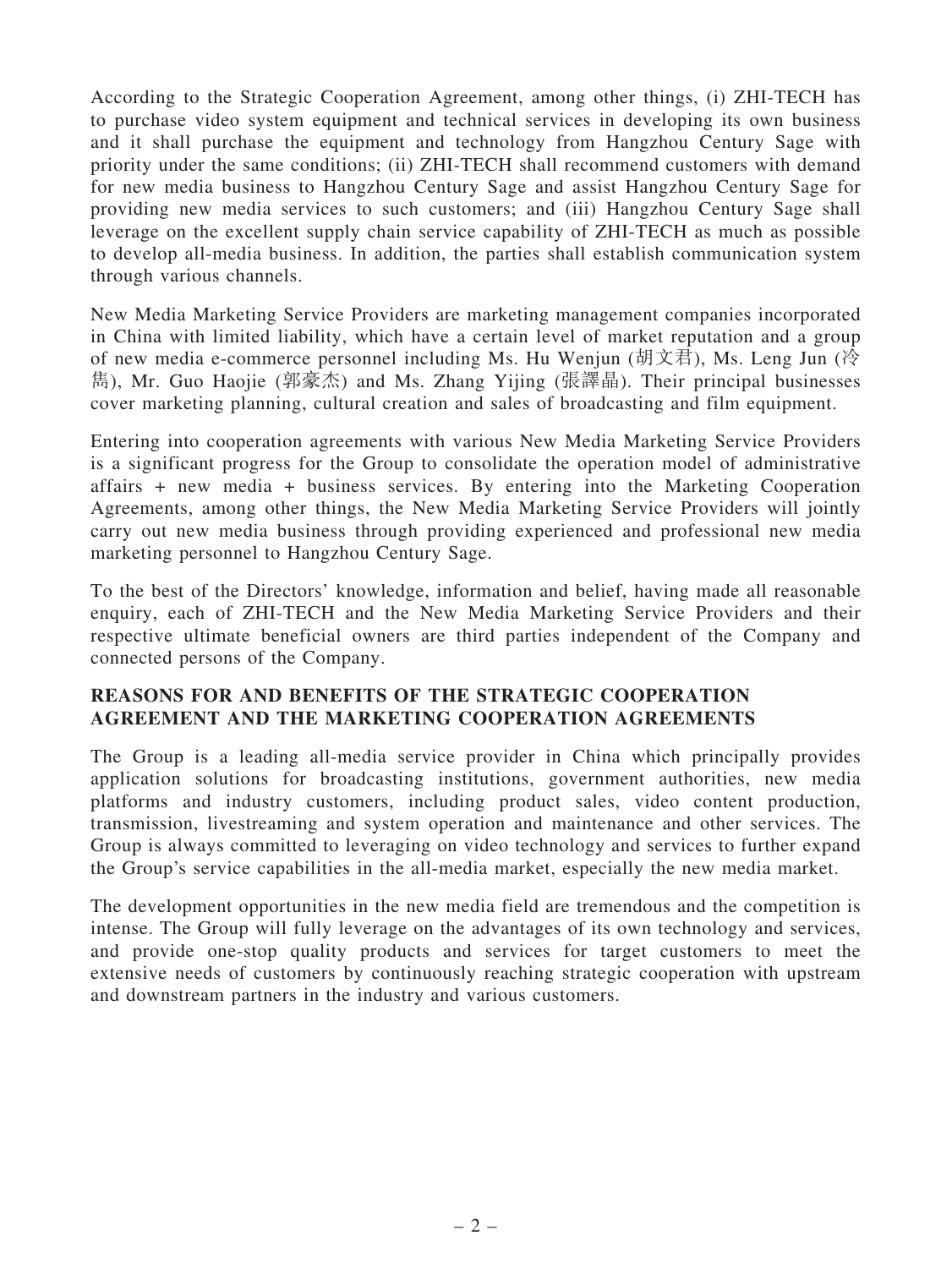According to the Strategic Cooperation Agreement, among other things, (i) ZHI-TECH has to purchase video system equipment and technical services in developing its own business and it shall purchase the equipment and technology from Hangzhou Century Sage with priority under the same conditions; (ii) ZHI-TECH shall recommend customers with demand for new media business to Hangzhou Century Sage and assist Hangzhou Century Sage for providing new media services to such customers; and (iii) Hangzhou Century Sage shall leverage on the excellent supply chain service capability of ZHI-TECH as much as possible to develop all-media business. In addition, the parties shall establish communication system through various channels.

New Media Marketing Service Providers are marketing management companies incorporated in China with limited liability, which have a certain level of market reputation and a group of new media e-commerce personnel including Ms. Hu Wenjun (胡文君), Ms. Leng Jun (冷 雋), Mr. Guo Haojie (郭豪杰) and Ms. Zhang Yijing (張譯晶). Their principal businesses cover marketing planning, cultural creation and sales of broadcasting and film equipment.

Entering into cooperation agreements with various New Media Marketing Service Providers is a significant progress for the Group to consolidate the operation model of administrative affairs + new media + business services. By entering into the Marketing Cooperation Agreements, among other things, the New Media Marketing Service Providers will jointly carry out new media business through providing experienced and professional new media marketing personnel to Hangzhou Century Sage.

To the best of the Directors' knowledge, information and belief, having made all reasonable enquiry, each of ZHI-TECH and the New Media Marketing Service Providers and their respective ultimate beneficial owners are third parties independent of the Company and connected persons of the Company.

## REASONS FOR AND BENEFITS OF THE STRATEGIC COOPERATION AGREEMENT AND THE MARKETING COOPERATION AGREEMENTS

The Group is a leading all-media service provider in China which principally provides application solutions for broadcasting institutions, government authorities, new media platforms and industry customers, including product sales, video content production, transmission, livestreaming and system operation and maintenance and other services. The Group is always committed to leveraging on video technology and services to further expand the Group's service capabilities in the all-media market, especially the new media market.

The development opportunities in the new media field are tremendous and the competition is intense. The Group will fully leverage on the advantages of its own technology and services, and provide one-stop quality products and services for target customers to meet the extensive needs of customers by continuously reaching strategic cooperation with upstream and downstream partners in the industry and various customers.